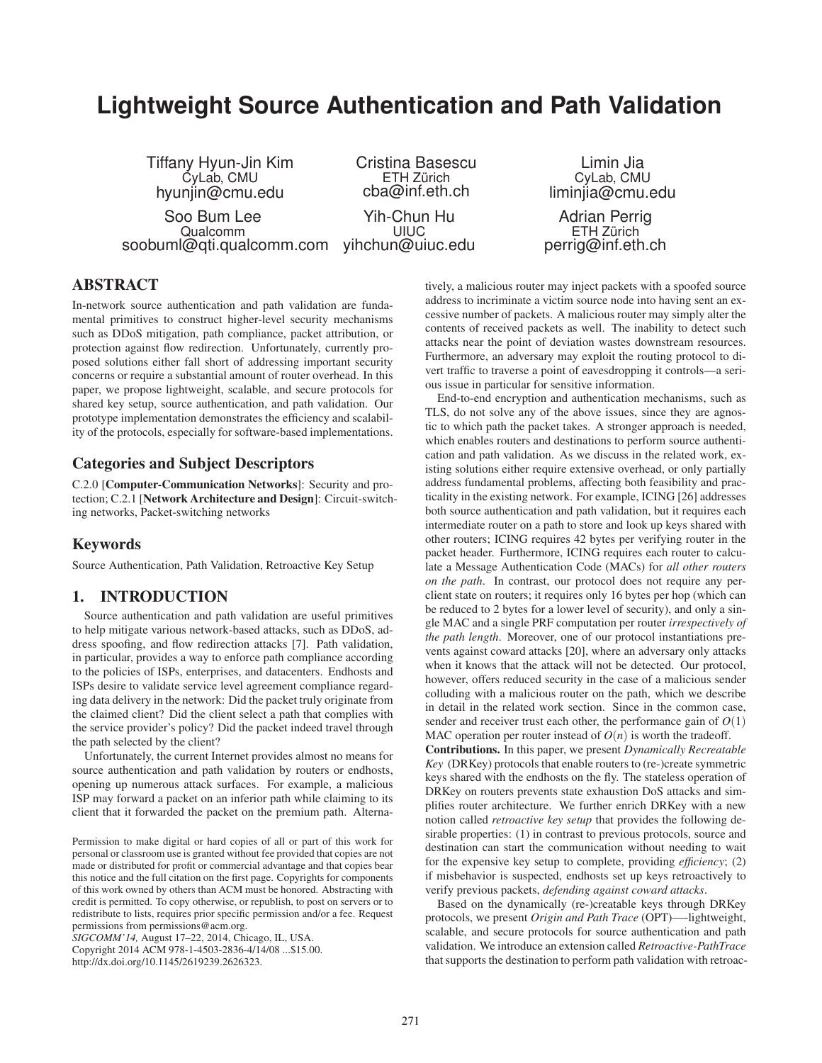# **Lightweight Source Authentication and Path Validation**

Tiffany Hyun-Jin Kim CyLab, CMU hyunjin@cmu.edu

Soo Bum Lee Qualcomm soobuml@qti.qualcomm.com yihchun@uiuc.edu

Cristina Basescu ETH Zürich cba@inf.eth.ch

Yih-Chun Hu UIUC

Limin Jia CyLab, CMU liminjia@cmu.edu

Adrian Perrig ETH Zürich perrig@inf.eth.ch

# **ABSTRACT**

In-network source authentication and path validation are fundamental primitives to construct higher-level security mechanisms such as DDoS mitigation, path compliance, packet attribution, or protection against flow redirection. Unfortunately, currently proposed solutions either fall short of addressing important security concerns or require a substantial amount of router overhead. In this paper, we propose lightweight, scalable, and secure protocols for shared key setup, source authentication, and path validation. Our prototype implementation demonstrates the efficiency and scalability of the protocols, especially for software-based implementations.

# **Categories and Subject Descriptors**

C.2.0 [**Computer-Communication Networks**]: Security and protection; C.2.1 [**Network Architecture and Design**]: Circuit-switching networks, Packet-switching networks

### **Keywords**

Source Authentication, Path Validation, Retroactive Key Setup

# **1. INTRODUCTION**

Source authentication and path validation are useful primitives to help mitigate various network-based attacks, such as DDoS, address spoofing, and flow redirection attacks [7]. Path validation, in particular, provides a way to enforce path compliance according to the policies of ISPs, enterprises, and datacenters. Endhosts and ISPs desire to validate service level agreement compliance regarding data delivery in the network: Did the packet truly originate from the claimed client? Did the client select a path that complies with the service provider's policy? Did the packet indeed travel through the path selected by the client?

Unfortunately, the current Internet provides almost no means for source authentication and path validation by routers or endhosts, opening up numerous attack surfaces. For example, a malicious ISP may forward a packet on an inferior path while claiming to its client that it forwarded the packet on the premium path. Alterna-

*SIGCOMM'14,* August 17–22, 2014, Chicago, IL, USA. Copyright 2014 ACM 978-1-4503-2836-4/14/08 ...\$15.00. http://dx.doi.org/10.1145/2619239.2626323.

tively, a malicious router may inject packets with a spoofed source address to incriminate a victim source node into having sent an excessive number of packets. A malicious router may simply alter the contents of received packets as well. The inability to detect such attacks near the point of deviation wastes downstream resources. Furthermore, an adversary may exploit the routing protocol to divert traffic to traverse a point of eavesdropping it controls—a serious issue in particular for sensitive information.

End-to-end encryption and authentication mechanisms, such as TLS, do not solve any of the above issues, since they are agnostic to which path the packet takes. A stronger approach is needed, which enables routers and destinations to perform source authentication and path validation. As we discuss in the related work, existing solutions either require extensive overhead, or only partially address fundamental problems, affecting both feasibility and practicality in the existing network. For example, ICING [26] addresses both source authentication and path validation, but it requires each intermediate router on a path to store and look up keys shared with other routers; ICING requires 42 bytes per verifying router in the packet header. Furthermore, ICING requires each router to calculate a Message Authentication Code (MACs) for *all other routers on the path*. In contrast, our protocol does not require any perclient state on routers; it requires only 16 bytes per hop (which can be reduced to 2 bytes for a lower level of security), and only a single MAC and a single PRF computation per router *irrespectively of the path length*. Moreover, one of our protocol instantiations prevents against coward attacks [20], where an adversary only attacks when it knows that the attack will not be detected. Our protocol, however, offers reduced security in the case of a malicious sender colluding with a malicious router on the path, which we describe in detail in the related work section. Since in the common case, sender and receiver trust each other, the performance gain of  $O(1)$ MAC operation per router instead of  $O(n)$  is worth the tradeoff.

**Contributions.** In this paper, we present *Dynamically Recreatable Key* (DRKey) protocols that enable routers to (re-)create symmetric keys shared with the endhosts on the fly. The stateless operation of DRKey on routers prevents state exhaustion DoS attacks and simplifies router architecture. We further enrich DRKey with a new notion called *retroactive key setup* that provides the following desirable properties: (1) in contrast to previous protocols, source and destination can start the communication without needing to wait for the expensive key setup to complete, providing *efficiency*; (2) if misbehavior is suspected, endhosts set up keys retroactively to verify previous packets, *defending against coward attacks*.

Based on the dynamically (re-)creatable keys through DRKey protocols, we present *Origin and Path Trace* (OPT)—-lightweight, scalable, and secure protocols for source authentication and path validation. We introduce an extension called *Retroactive-PathTrace* that supports the destination to perform path validation with retroac-

Permission to make digital or hard copies of all or part of this work for personal or classroom use is granted without fee provided that copies are not made or distributed for profit or commercial advantage and that copies bear this notice and the full citation on the first page. Copyrights for components of this work owned by others than ACM must be honored. Abstracting with credit is permitted. To copy otherwise, or republish, to post on servers or to redistribute to lists, requires prior specific permission and/or a fee. Request permissions from permissions@acm.org.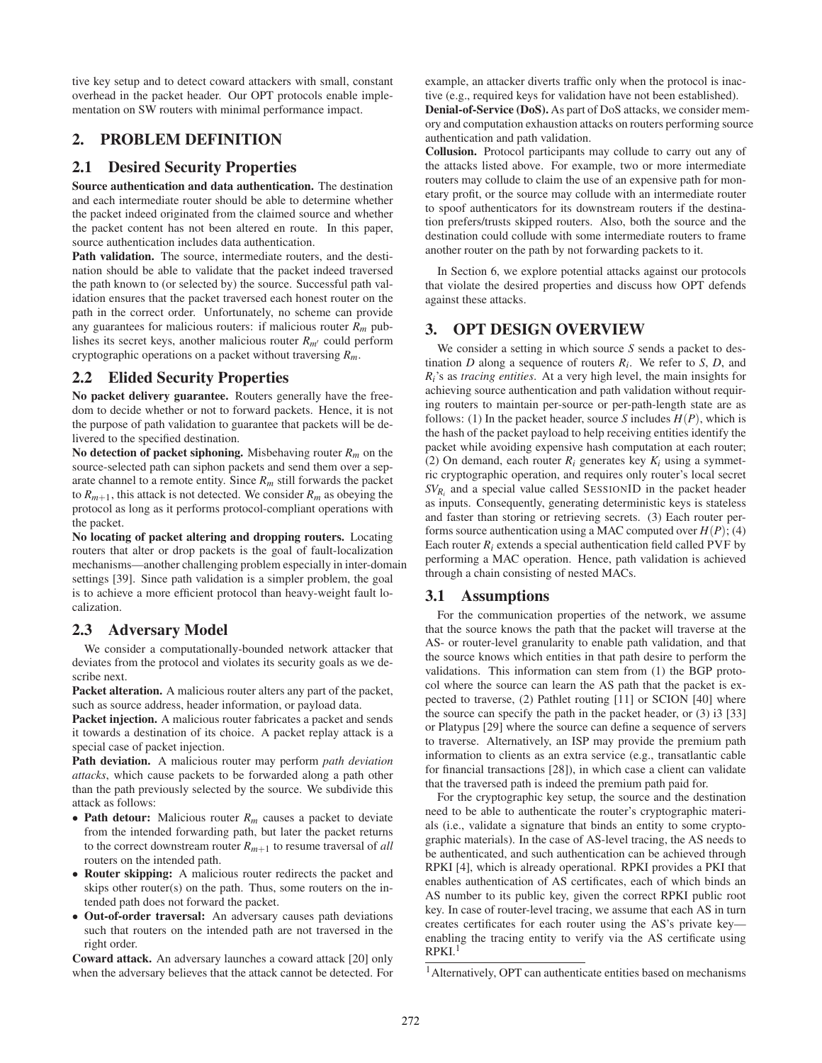tive key setup and to detect coward attackers with small, constant overhead in the packet header. Our OPT protocols enable implementation on SW routers with minimal performance impact.

# **2. PROBLEM DEFINITION**

# **2.1 Desired Security Properties**

**Source authentication and data authentication.** The destination and each intermediate router should be able to determine whether the packet indeed originated from the claimed source and whether the packet content has not been altered en route. In this paper, source authentication includes data authentication.

Path validation. The source, intermediate routers, and the destination should be able to validate that the packet indeed traversed the path known to (or selected by) the source. Successful path validation ensures that the packet traversed each honest router on the path in the correct order. Unfortunately, no scheme can provide any guarantees for malicious routers: if malicious router  $R_m$  publishes its secret keys, another malicious router  $R_{m'}$  could perform cryptographic operations on a packet without traversing *Rm*.

# **2.2 Elided Security Properties**

**No packet delivery guarantee.** Routers generally have the freedom to decide whether or not to forward packets. Hence, it is not the purpose of path validation to guarantee that packets will be delivered to the specified destination.

**No detection of packet siphoning.** Misbehaving router  $R_m$  on the source-selected path can siphon packets and send them over a separate channel to a remote entity. Since *Rm* still forwards the packet to  $R_{m+1}$ , this attack is not detected. We consider  $R_m$  as obeying the protocol as long as it performs protocol-compliant operations with the packet.

**No locating of packet altering and dropping routers.** Locating routers that alter or drop packets is the goal of fault-localization mechanisms—another challenging problem especially in inter-domain settings [39]. Since path validation is a simpler problem, the goal is to achieve a more efficient protocol than heavy-weight fault localization.

# **2.3 Adversary Model**

We consider a computationally-bounded network attacker that deviates from the protocol and violates its security goals as we describe next.

**Packet alteration.** A malicious router alters any part of the packet, such as source address, header information, or payload data.

Packet injection. A malicious router fabricates a packet and sends it towards a destination of its choice. A packet replay attack is a special case of packet injection.

**Path deviation.** A malicious router may perform *path deviation attacks*, which cause packets to be forwarded along a path other than the path previously selected by the source. We subdivide this attack as follows:

- **Path detour:** Malicious router *Rm* causes a packet to deviate from the intended forwarding path, but later the packet returns to the correct downstream router  $R_{m+1}$  to resume traversal of *all* routers on the intended path.
- **Router skipping:** A malicious router redirects the packet and skips other router(s) on the path. Thus, some routers on the intended path does not forward the packet.
- **Out-of-order traversal:** An adversary causes path deviations such that routers on the intended path are not traversed in the right order.

**Coward attack.** An adversary launches a coward attack [20] only when the adversary believes that the attack cannot be detected. For example, an attacker diverts traffic only when the protocol is inactive (e.g., required keys for validation have not been established). **Denial-of-Service (DoS).** As part of DoS attacks, we consider memory and computation exhaustion attacks on routers performing source authentication and path validation.

**Collusion.** Protocol participants may collude to carry out any of the attacks listed above. For example, two or more intermediate routers may collude to claim the use of an expensive path for monetary profit, or the source may collude with an intermediate router to spoof authenticators for its downstream routers if the destination prefers/trusts skipped routers. Also, both the source and the destination could collude with some intermediate routers to frame another router on the path by not forwarding packets to it.

In Section 6, we explore potential attacks against our protocols that violate the desired properties and discuss how OPT defends against these attacks.

# **3. OPT DESIGN OVERVIEW**

We consider a setting in which source *S* sends a packet to destination *D* along a sequence of routers  $R_i$ . We refer to *S*, *D*, and *Ri*'s as *tracing entities*. At a very high level, the main insights for achieving source authentication and path validation without requiring routers to maintain per-source or per-path-length state are as follows: (1) In the packet header, source *S* includes  $H(P)$ , which is the hash of the packet payload to help receiving entities identify the packet while avoiding expensive hash computation at each router; (2) On demand, each router  $R_i$  generates key  $K_i$  using a symmetric cryptographic operation, and requires only router's local secret  $SV_{R_i}$  and a special value called SESSIONID in the packet header as inputs. Consequently, generating deterministic keys is stateless and faster than storing or retrieving secrets. (3) Each router performs source authentication using a MAC computed over  $H(P)$ ; (4) Each router  $R_i$  extends a special authentication field called PVF by performing a MAC operation. Hence, path validation is achieved through a chain consisting of nested MACs.

# **3.1 Assumptions**

For the communication properties of the network, we assume that the source knows the path that the packet will traverse at the AS- or router-level granularity to enable path validation, and that the source knows which entities in that path desire to perform the validations. This information can stem from (1) the BGP protocol where the source can learn the AS path that the packet is expected to traverse, (2) Pathlet routing [11] or SCION [40] where the source can specify the path in the packet header, or (3) i3 [33] or Platypus [29] where the source can define a sequence of servers to traverse. Alternatively, an ISP may provide the premium path information to clients as an extra service (e.g., transatlantic cable for financial transactions [28]), in which case a client can validate that the traversed path is indeed the premium path paid for.

For the cryptographic key setup, the source and the destination need to be able to authenticate the router's cryptographic materials (i.e., validate a signature that binds an entity to some cryptographic materials). In the case of AS-level tracing, the AS needs to be authenticated, and such authentication can be achieved through RPKI [4], which is already operational. RPKI provides a PKI that enables authentication of AS certificates, each of which binds an AS number to its public key, given the correct RPKI public root key. In case of router-level tracing, we assume that each AS in turn creates certificates for each router using the AS's private key enabling the tracing entity to verify via the AS certificate using  $RPKI.<sup>1</sup>$ 

<sup>1</sup>Alternatively, OPT can authenticate entities based on mechanisms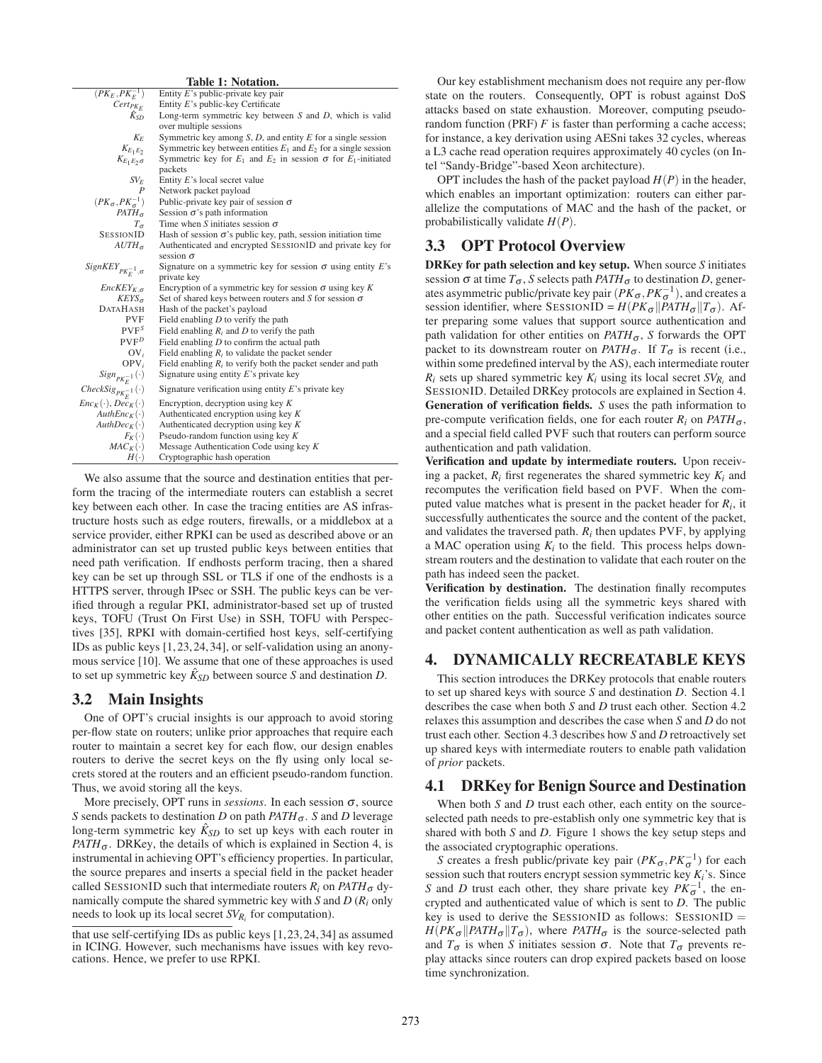| <b>Table 1: Notation.</b>         |                                                                            |  |  |  |
|-----------------------------------|----------------------------------------------------------------------------|--|--|--|
| $(PK_{E}, PK_{F}^{-1})$           | Entity $E$ 's public-private key pair                                      |  |  |  |
| $Cert_{PKF}$                      | Entity $E$ 's public-key Certificate                                       |  |  |  |
| $\hat{K}_{SD}$                    | Long-term symmetric key between $S$ and $D$ , which is valid               |  |  |  |
|                                   | over multiple sessions                                                     |  |  |  |
| $K_F$                             | Symmetric key among $S$ , $D$ , and entity $E$ for a single session        |  |  |  |
| $K_{E_1E_2}$                      | Symmetric key between entities $E_1$ and $E_2$ for a single session        |  |  |  |
| $K_{E_1E_2\sigma}$                | Symmetric key for $E_1$ and $E_2$ in session $\sigma$ for $E_1$ -initiated |  |  |  |
|                                   | packets                                                                    |  |  |  |
| $SV_E$                            | Entity $E$ 's local secret value                                           |  |  |  |
| P                                 | Network packet payload                                                     |  |  |  |
| $(PK_{\sigma}, PK_{\sigma}^{-1})$ | Public-private key pair of session $\sigma$                                |  |  |  |
| $PATH_{\sigma}$                   | Session $\sigma$ 's path information                                       |  |  |  |
| $T_{\sigma}$                      | Time when S initiates session $\sigma$                                     |  |  |  |
| <b>SESSIONID</b>                  | Hash of session $\sigma$ 's public key, path, session initiation time      |  |  |  |
| $AUTH_{\sigma}$                   | Authenticated and encrypted SESSIONID and private key for                  |  |  |  |
|                                   | session $\sigma$                                                           |  |  |  |
| $SignKEY_{PK_E^{-1},\sigma}$      | Signature on a symmetric key for session $\sigma$ using entity E's         |  |  |  |
|                                   | private key                                                                |  |  |  |
| $EncKEY_{K,\sigma}$               | Encryption of a symmetric key for session $\sigma$ using key K             |  |  |  |
| $KEYS_{\sigma}$                   | Set of shared keys between routers and S for session $\sigma$              |  |  |  |
| <b>DATAHASH</b>                   | Hash of the packet's payload                                               |  |  |  |
| <b>PVF</b>                        | Field enabling $D$ to verify the path                                      |  |  |  |
| $PVF^{S}$                         | Field enabling $R_i$ and $D$ to verify the path                            |  |  |  |
| $PVF^{D}$                         | Field enabling $D$ to confirm the actual path                              |  |  |  |
| $\rm OV_i$                        | Field enabling $R_i$ to validate the packet sender                         |  |  |  |
| $OPV_i$                           | Field enabling $R_i$ to verify both the packet sender and path             |  |  |  |
| $Sign_{PK_F^{-1}}(\cdot)$         | Signature using entity $E$ 's private key                                  |  |  |  |
| $CheckSig_{PK_F^{-1}}(\cdot)$     | Signature verification using entity $E$ 's private key                     |  |  |  |
| $Enc_K(\cdot), Dec_K(\cdot)$      | Encryption, decryption using key $K$                                       |  |  |  |
| $Author_{K}(\cdot)$               | Authenticated encryption using key $K$                                     |  |  |  |
| $Author_{K}(\cdot)$               | Authenticated decryption using key $K$                                     |  |  |  |
| $F_K(\cdot)$                      | Pseudo-random function using key $K$                                       |  |  |  |
| $MAC_K(\cdot)$                    | Message Authentication Code using key $K$                                  |  |  |  |
| $H(\cdot)$                        | Cryptographic hash operation                                               |  |  |  |

We also assume that the source and destination entities that perform the tracing of the intermediate routers can establish a secret key between each other. In case the tracing entities are AS infrastructure hosts such as edge routers, firewalls, or a middlebox at a service provider, either RPKI can be used as described above or an administrator can set up trusted public keys between entities that need path verification. If endhosts perform tracing, then a shared key can be set up through SSL or TLS if one of the endhosts is a HTTPS server, through IPsec or SSH. The public keys can be verified through a regular PKI, administrator-based set up of trusted keys, TOFU (Trust On First Use) in SSH, TOFU with Perspectives [35], RPKI with domain-certified host keys, self-certifying IDs as public keys [1, 23, 24, 34], or self-validation using an anonymous service [10]. We assume that one of these approaches is used to set up symmetric key  $\hat{K}_{SD}$  between source *S* and destination *D*.

### **3.2 Main Insights**

One of OPT's crucial insights is our approach to avoid storing per-flow state on routers; unlike prior approaches that require each router to maintain a secret key for each flow, our design enables routers to derive the secret keys on the fly using only local secrets stored at the routers and an efficient pseudo-random function. Thus, we avoid storing all the keys.

More precisely, OPT runs in *sessions*. In each session <sup>σ</sup>, source *S* sends packets to destination *D* on path  $PATH_{\sigma}$ . *S* and *D* leverage long-term symmetric key  $\hat{K}_{SD}$  to set up keys with each router in  $PATH_{\sigma}$ . DRKey, the details of which is explained in Section 4, is instrumental in achieving OPT's efficiency properties. In particular, the source prepares and inserts a special field in the packet header called SESSIONID such that intermediate routers  $R_i$  on  $PATH_{\sigma}$  dynamically compute the shared symmetric key with *S* and *D* (*Ri* only needs to look up its local secret *SVR<sup>i</sup>* for computation).

Our key establishment mechanism does not require any per-flow state on the routers. Consequently, OPT is robust against DoS attacks based on state exhaustion. Moreover, computing pseudorandom function (PRF)  $F$  is faster than performing a cache access; for instance, a key derivation using AESni takes 32 cycles, whereas a L3 cache read operation requires approximately 40 cycles (on Intel "Sandy-Bridge"-based Xeon architecture).

OPT includes the hash of the packet payload  $H(P)$  in the header, which enables an important optimization: routers can either parallelize the computations of MAC and the hash of the packet, or probabilistically validate  $H(P)$ .

# **3.3 OPT Protocol Overview**

**DRKey for path selection and key setup.** When source *S* initiates session  $\sigma$  at time  $T_{\sigma}$ , *S* selects path *PATH*<sub> $\sigma$ </sub> to destination *D*, generates asymmetric public/private key pair  $(PK_{\sigma}, PK_{\sigma}^{-1})$ , and creates a session identifier, where SESSIONID =  $H(PK_{\sigma}||PATH_{\sigma}||T_{\sigma})$ . After preparing some values that support source authentication and path validation for other entities on  $PATH_{\sigma}$ , *S* forwards the OPT packet to its downstream router on  $PATH_{\sigma}$ . If  $T_{\sigma}$  is recent (i.e., within some predefined interval by the AS), each intermediate router  $R_i$  sets up shared symmetric key  $K_i$  using its local secret  $SV_{R_i}$  and SESSIONID. Detailed DRKey protocols are explained in Section 4. **Generation of verification fields.** *S* uses the path information to pre-compute verification fields, one for each router  $R_i$  on  $PATH_{\sigma}$ , and a special field called PVF such that routers can perform source authentication and path validation.

**Verification and update by intermediate routers.** Upon receiving a packet,  $R_i$  first regenerates the shared symmetric key  $K_i$  and recomputes the verification field based on PVF. When the computed value matches what is present in the packet header for *Ri* , it successfully authenticates the source and the content of the packet, and validates the traversed path.  $R_i$  then updates PVF, by applying a MAC operation using  $K_i$  to the field. This process helps downstream routers and the destination to validate that each router on the path has indeed seen the packet.

**Verification by destination.** The destination finally recomputes the verification fields using all the symmetric keys shared with other entities on the path. Successful verification indicates source and packet content authentication as well as path validation.

### **4. DYNAMICALLY RECREATABLE KEYS**

This section introduces the DRKey protocols that enable routers to set up shared keys with source *S* and destination *D*. Section 4.1 describes the case when both *S* and *D* trust each other. Section 4.2 relaxes this assumption and describes the case when *S* and *D* do not trust each other. Section 4.3 describes how *S* and *D* retroactively set up shared keys with intermediate routers to enable path validation of *prior* packets.

### **4.1 DRKey for Benign Source and Destination**

When both *S* and *D* trust each other, each entity on the sourceselected path needs to pre-establish only one symmetric key that is shared with both *S* and *D*. Figure 1 shows the key setup steps and the associated cryptographic operations.

*S* creates a fresh public/private key pair  $(PK_{\sigma}, PK_{\sigma}^{-1})$  for each session such that routers encrypt session symmetric key *Ki*'s. Since *S* and *D* trust each other, they share private key  $PK<sub>\sigma</sub><sup>-1</sup>$ , the encrypted and authenticated value of which is sent to *D*. The public key is used to derive the SESSIONID as follows:  $S$ ESSIONID =  $H(PK_{\sigma}||PATH_{\sigma}||T_{\sigma})$ , where  $PATH_{\sigma}$  is the source-selected path and  $T_{\sigma}$  is when *S* initiates session  $\sigma$ . Note that  $T_{\sigma}$  prevents replay attacks since routers can drop expired packets based on loose time synchronization.

that use self-certifying IDs as public keys [1, 23, 24, 34] as assumed in ICING. However, such mechanisms have issues with key revocations. Hence, we prefer to use RPKI.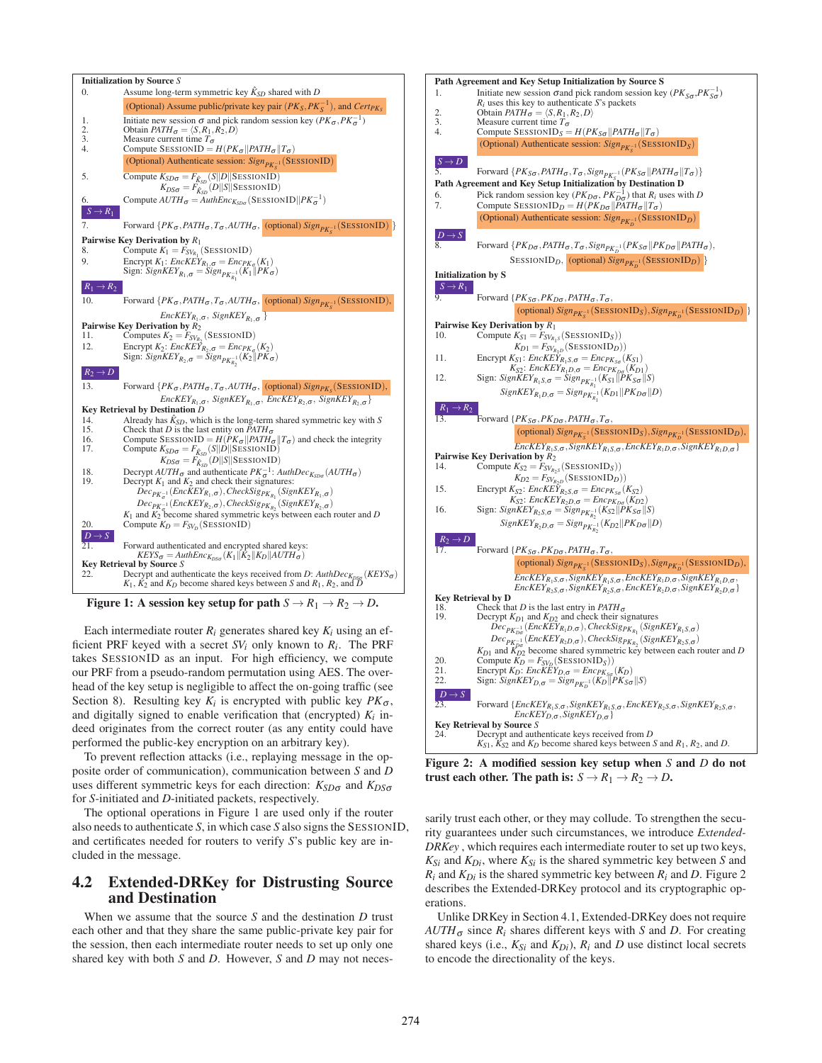



Each intermediate router  $R_i$  generates shared key  $K_i$  using an efficient PRF keyed with a secret *SVi* only known to *Ri* . The PRF takes SESSIONID as an input. For high efficiency, we compute our PRF from a pseudo-random permutation using AES. The overhead of the key setup is negligible to affect the on-going traffic (see Section 8). Resulting key  $K_i$  is encrypted with public key  $PK_{\sigma}$ , and digitally signed to enable verification that (encrypted)  $K_i$  indeed originates from the correct router (as any entity could have performed the public-key encryption on an arbitrary key).

To prevent reflection attacks (i.e., replaying message in the opposite order of communication), communication between *S* and *D* uses different symmetric keys for each direction:  $K_{SD\sigma}$  and  $K_{DS\sigma}$ for *S*-initiated and *D*-initiated packets, respectively.

The optional operations in Figure 1 are used only if the router also needs to authenticate *S*, in which case *S* also signs the SESSIONID, and certificates needed for routers to verify *S*'s public key are included in the message.

### **4.2 Extended-DRKey for Distrusting Source and Destination**

When we assume that the source *S* and the destination *D* trust each other and that they share the same public-private key pair for the session, then each intermediate router needs to set up only one shared key with both *S* and *D*. However, *S* and *D* may not neces-



**Figure 2: A modified session key setup when** *S* **and** *D* **do not trust each other. The path is:**  $S \rightarrow R_1 \rightarrow R_2 \rightarrow D$ .

sarily trust each other, or they may collude. To strengthen the security guarantees under such circumstances, we introduce *Extended-DRKey* , which requires each intermediate router to set up two keys,  $K_{Si}$  and  $K_{Di}$ , where  $K_{Si}$  is the shared symmetric key between *S* and  $R_i$  and  $K_{Di}$  is the shared symmetric key between  $R_i$  and  $D$ . Figure 2 describes the Extended-DRKey protocol and its cryptographic operations.

Unlike DRKey in Section 4.1, Extended-DRKey does not require  $AUTH_{\sigma}$  since  $R_i$  shares different keys with *S* and *D*. For creating shared keys (i.e.,  $K_{Si}$  and  $K_{Di}$ ),  $R_i$  and  $D$  use distinct local secrets to encode the directionality of the keys.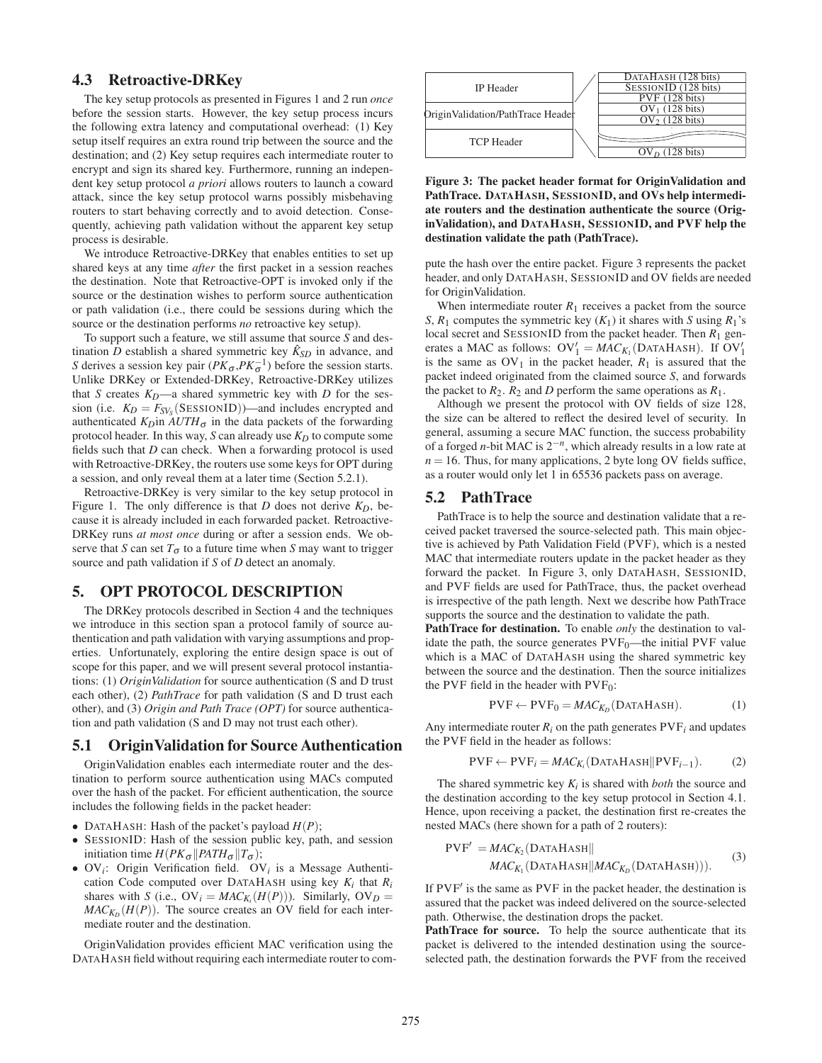# **4.3 Retroactive-DRKey**

The key setup protocols as presented in Figures 1 and 2 run *once* before the session starts. However, the key setup process incurs the following extra latency and computational overhead: (1) Key setup itself requires an extra round trip between the source and the destination; and (2) Key setup requires each intermediate router to encrypt and sign its shared key. Furthermore, running an independent key setup protocol *a priori* allows routers to launch a coward attack, since the key setup protocol warns possibly misbehaving routers to start behaving correctly and to avoid detection. Consequently, achieving path validation without the apparent key setup process is desirable.

We introduce Retroactive-DRKey that enables entities to set up shared keys at any time *after* the first packet in a session reaches the destination. Note that Retroactive-OPT is invoked only if the source or the destination wishes to perform source authentication or path validation (i.e., there could be sessions during which the source or the destination performs *no* retroactive key setup).

To support such a feature, we still assume that source *S* and destination *D* establish a shared symmetric key  $\hat{K}_{SD}$  in advance, and *S* derives a session key pair  $(PK_{\sigma}, PK_{\sigma}^{-1})$  before the session starts. Unlike DRKey or Extended-DRKey, Retroactive-DRKey utilizes that *S* creates  $K_D$ —a shared symmetric key with *D* for the session (i.e.  $K_D = F_{SV_S}(\text{SESSIONID})$ )—and includes encrypted and authenticated  $K_D$ in  $AUTH_{\sigma}$  in the data packets of the forwarding protocol header. In this way, *S* can already use  $K_D$  to compute some fields such that *D* can check. When a forwarding protocol is used with Retroactive-DRKey, the routers use some keys for OPT during a session, and only reveal them at a later time (Section 5.2.1).

Retroactive-DRKey is very similar to the key setup protocol in Figure 1. The only difference is that *D* does not derive  $K_D$ , because it is already included in each forwarded packet. Retroactive-DRKey runs *at most once* during or after a session ends. We observe that *S* can set  $T_{\sigma}$  to a future time when *S* may want to trigger source and path validation if *S* of *D* detect an anomaly.

### **5. OPT PROTOCOL DESCRIPTION**

The DRKey protocols described in Section 4 and the techniques we introduce in this section span a protocol family of source authentication and path validation with varying assumptions and properties. Unfortunately, exploring the entire design space is out of scope for this paper, and we will present several protocol instantiations: (1) *OriginValidation* for source authentication (S and D trust each other), (2) *PathTrace* for path validation (S and D trust each other), and (3) *Origin and Path Trace (OPT)* for source authentication and path validation (S and D may not trust each other).

### **5.1 OriginValidation for Source Authentication**

OriginValidation enables each intermediate router and the destination to perform source authentication using MACs computed over the hash of the packet. For efficient authentication, the source includes the following fields in the packet header:

- DATAHASH: Hash of the packet's payload  $H(P)$ ;
- SESSIONID: Hash of the session public key, path, and session initiation time  $H(PK_{\sigma}||PATH_{\sigma}||T_{\sigma})$ ;
- OV*i* : Origin Verification field. OV*i* is a Message Authentication Code computed over DATAHASH using key  $K_i$  that  $R_i$ shares with *S* (i.e.,  $OV_i = MAC_{K_i}(H(P))$ ). Similarly,  $OV_D =$  $MAC<sub>KD</sub>(H(P))$ . The source creates an OV field for each intermediate router and the destination.

OriginValidation provides efficient MAC verification using the DATAHASH field without requiring each intermediate router to com-



**Figure 3: The packet header format for OriginValidation and PathTrace. DATAHASH, SESSIONID, and OVs help intermediate routers and the destination authenticate the source (OriginValidation), and DATAHASH, SESSIONID, and PVF help the destination validate the path (PathTrace).**

pute the hash over the entire packet. Figure 3 represents the packet header, and only DATAHASH, SESSIONID and OV fields are needed for OriginValidation.

When intermediate router  $R_1$  receives a packet from the source *S*,  $R_1$  computes the symmetric key  $(K_1)$  it shares with *S* using  $R_1$ 's local secret and SESSIONID from the packet header. Then *R*<sup>1</sup> generates a MAC as follows:  $OV'_1 = MAC_{K_1} (DATAHASH)$ . If  $OV'_1$ is the same as  $OV_1$  in the packet header,  $R_1$  is assured that the packet indeed originated from the claimed source *S*, and forwards the packet to  $R_2$ .  $R_2$  and *D* perform the same operations as  $R_1$ .

Although we present the protocol with OV fields of size 128, the size can be altered to reflect the desired level of security. In general, assuming a secure MAC function, the success probability of a forged *n*-bit MAC is 2−*<sup>n</sup>* , which already results in a low rate at  $n = 16$ . Thus, for many applications, 2 byte long OV fields suffice, as a router would only let 1 in 65536 packets pass on average.

#### **5.2 PathTrace**

PathTrace is to help the source and destination validate that a received packet traversed the source-selected path. This main objective is achieved by Path Validation Field (PVF), which is a nested MAC that intermediate routers update in the packet header as they forward the packet. In Figure 3, only DATAHASH, SESSIONID, and PVF fields are used for PathTrace, thus, the packet overhead is irrespective of the path length. Next we describe how PathTrace supports the source and the destination to validate the path.

**PathTrace for destination.** To enable *only* the destination to validate the path, the source generates  $PVF_0$ —the initial PVF value which is a MAC of DATAHASH using the shared symmetric key between the source and the destination. Then the source initializes the PVF field in the header with  $PVF_0$ :

$$
PVF \leftarrow PVF_0 = MAC_{K_D} (DATAHASH).
$$
 (1)

Any intermediate router  $R_i$  on the path generates  $PVF_i$  and updates the PVF field in the header as follows:

$$
PVF \leftarrow PVF_i = MAC_{K_i}(DATAHASH||PVF_{i-1}).
$$
 (2)

The shared symmetric key *Ki* is shared with *both* the source and the destination according to the key setup protocol in Section 4.1. Hence, upon receiving a packet, the destination first re-creates the nested MACs (here shown for a path of 2 routers):

$$
PVF' = MAC_{K_2}(DATAHASH ||MAC_{K_1}(DATAHASH || MAC_{K_D}(DATAHASH))).
$$
 (3)

If PVF' is the same as PVF in the packet header, the destination is assured that the packet was indeed delivered on the source-selected path. Otherwise, the destination drops the packet.

**PathTrace for source.** To help the source authenticate that its packet is delivered to the intended destination using the sourceselected path, the destination forwards the PVF from the received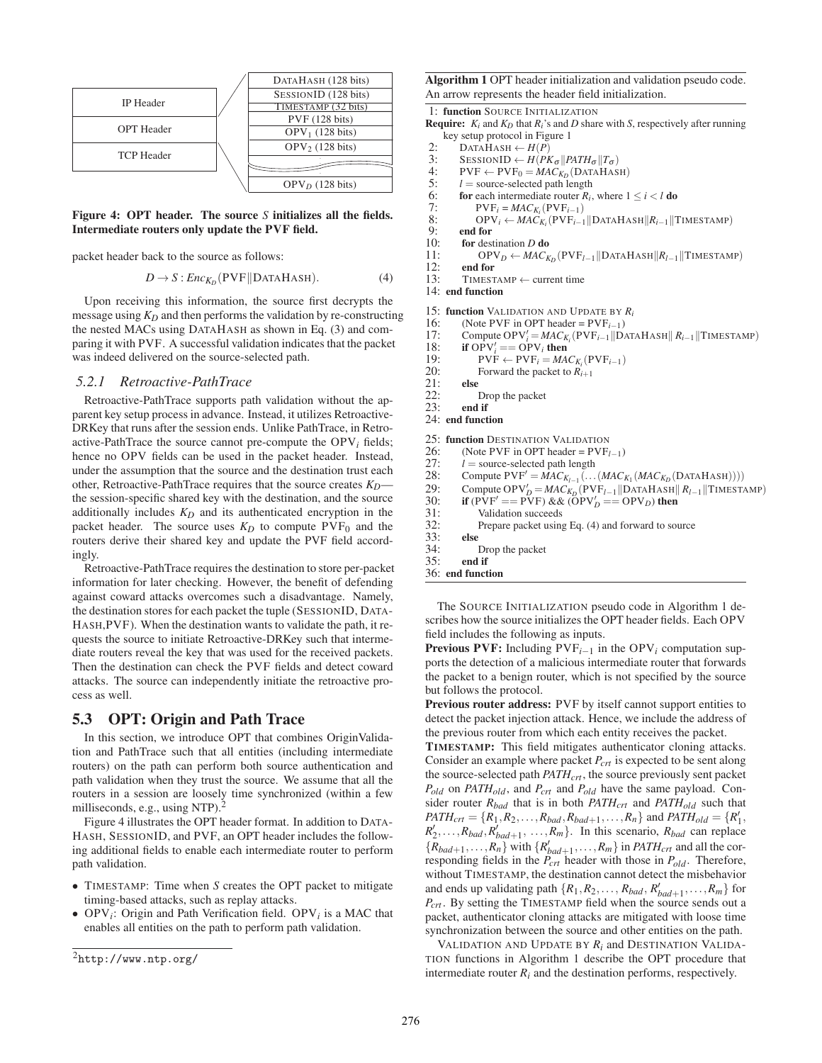

#### **Figure 4: OPT header. The source** *S* **initializes all the fields. Intermediate routers only update the PVF field.**

packet header back to the source as follows:

$$
D \to S: Enc_{K_D}(\text{PVF}||\text{DATAHASH}). \tag{4}
$$

Upon receiving this information, the source first decrypts the message using  $K_D$  and then performs the validation by re-constructing the nested MACs using DATAHASH as shown in Eq. (3) and comparing it with PVF. A successful validation indicates that the packet was indeed delivered on the source-selected path.

#### *5.2.1 Retroactive-PathTrace*

Retroactive-PathTrace supports path validation without the apparent key setup process in advance. Instead, it utilizes Retroactive-DRKey that runs after the session ends. Unlike PathTrace, in Retroactive-PathTrace the source cannot pre-compute the OPV*i* fields; hence no OPV fields can be used in the packet header. Instead, under the assumption that the source and the destination trust each other, Retroactive-PathTrace requires that the source creates *KD* the session-specific shared key with the destination, and the source additionally includes *KD* and its authenticated encryption in the packet header. The source uses  $K_D$  to compute  $PVF_0$  and the routers derive their shared key and update the PVF field accordingly.

Retroactive-PathTrace requires the destination to store per-packet information for later checking. However, the benefit of defending against coward attacks overcomes such a disadvantage. Namely, the destination stores for each packet the tuple (SESSIONID, DATA-HASH,PVF). When the destination wants to validate the path, it requests the source to initiate Retroactive-DRKey such that intermediate routers reveal the key that was used for the received packets. Then the destination can check the PVF fields and detect coward attacks. The source can independently initiate the retroactive process as well.

### **5.3 OPT: Origin and Path Trace**

In this section, we introduce OPT that combines OriginValidation and PathTrace such that all entities (including intermediate routers) on the path can perform both source authentication and path validation when they trust the source. We assume that all the routers in a session are loosely time synchronized (within a few milliseconds, e.g., using NTP).

Figure 4 illustrates the OPT header format. In addition to DATA-HASH, SESSIONID, and PVF, an OPT header includes the following additional fields to enable each intermediate router to perform path validation.

- TIMESTAMP: Time when *S* creates the OPT packet to mitigate timing-based attacks, such as replay attacks.
- OPV*i* : Origin and Path Verification field. OPV*i* is a MAC that enables all entities on the path to perform path validation.

**Algorithm 1** OPT header initialization and validation pseudo code. An arrow represents the header field initialization.

1: **function** SOURCE INITIALIZATION **Require:**  $K_i$  and  $K_D$  that  $R_i$ 's and  $D$  share with  $S$ , respectively after running key setup protocol in Figure 1

- 
- 2: DATAHASH  $\leftarrow$  *H*(*P*)<br>3: SESSIONID  $\leftarrow$  *H*(*PI*)
- 3: SESSIONID ← *H*( $PK_{\sigma}$ ||*PATH*<sub>σ</sub>||*T*<sub>σ</sub>)<br>4: PVF ← PVF<sub>0</sub> = *MAC*<sub>K<sub>0</sub></sub>(DATAHAS  $4: \text{PVF} \leftarrow \text{PVF}_0 = MAC_{K_D}(\text{DATAHASH})$
- 5:  $l =$  source-selected path length
- 6: **for** each intermediate router  $R_i$ , where  $1 \le i < l$  **do**
- 7:  $PVF_i = MAC_{K_i}(PVF_{i-1})$
- 8:  $OPV_i \leftarrow MAC_{K_i}(PVF_{i-1}||DATAHASH||R_{i-1}||TIMESTAMP)$
- 9: **end for**
- 
- 10: **for** destination *D* **do**<br>11:  $OPV_D \leftarrow MAC_R$ 11:  $OPV_D \leftarrow MAC_{K_D}(PVF_{l-1}||DATAHASH||R_{l-1}||TIMESTAMP)$

```
12: end for
```
13: TIMESTAMP  $\leftarrow$  current time 14: end function

```
end function
```
15: **function** VALIDATION AND UPDATE BY  $R_i$ <br>16: (Note PVF in OPT header = PVF<sub>i</sub>)

- 16: (Note PVF in OPT header = PVF<sub>i−1</sub>)<br>17: Compute OPV $'_{i} = MAC_{K_i}(PVF_{i-1}||DP_{i})$
- 17: Compute  $\text{OPV}'_i = MAC_{K_i}(\text{PVF}_{i-1}||\text{DATAHASH}|| R_{i-1}||\text{TIMESTAMP})$
- 18: **if**  $\overrightarrow{OPV_i}$  ==  $\overrightarrow{OPV_i}$  **then**
- 19:  $PVF \leftarrow PVF_i = MAC_{K_i}(PVF_{i-1})$
- 20: Forward the packet to  $R_{i+1}$ <br>21: **else** 
	-
- 21: **else** 22: Drop the packet 23: **end if**
- end if
- 24: **end function**
- 25: **function** DESTINATION VALIDATION<br>26: (Note PVF in OPT header = PVF
- 26: (Note PVF in OPT header = PVF<sub>*l*−1</sub>)<br>27:  $l =$  source-selected path length
- 27:  $l =$  source-selected path length<br>28: Compute  $PVF' = MAC_{K_{l-1}}(...$
- 28: Compute  $PVF' = \hat{MAC}_{K_{l-1}}(\dots(\hat{MAC}_{K_1}(\hat{MAC}_{K_D}(\text{DATAHASH}))))$
- 29: Compute  $\text{OPV}'_D = MAC_{K_D}(\text{PVF}_{l-1}||\text{DATAHASH}|| R_{l-1}||\text{TIMESTAMP})$
- 30: **if**  $(PVF' == PVF)$  &&  $\ddot{OPV}'_D == OPV_D$  then
- 31: Validation succeeds<br>32: Prepare packet using
- 32: Prepare packet using Eq.  $(4)$  and forward to source 33: else
- 33: **else**
- 34: Drop the packet<br>35: end if

```
35: end if
```

```
36: end function
```
The SOURCE INITIALIZATION pseudo code in Algorithm 1 describes how the source initializes the OPT header fields. Each OPV field includes the following as inputs.

**Previous PVF:** Including PVF*i*−<sup>1</sup> in the OPV*<sup>i</sup>* computation supports the detection of a malicious intermediate router that forwards the packet to a benign router, which is not specified by the source but follows the protocol.

**Previous router address:** PVF by itself cannot support entities to detect the packet injection attack. Hence, we include the address of the previous router from which each entity receives the packet.

**TIMESTAMP:** This field mitigates authenticator cloning attacks. Consider an example where packet *Pcrt* is expected to be sent along the source-selected path *PATHcrt*, the source previously sent packet  $P_{old}$  on *PATH<sub>old</sub>*, and  $P_{crt}$  and  $P_{old}$  have the same payload. Consider router *Rbad* that is in both *PATHcrt* and *PATHold* such that  $PATH_{crt} = \{R_1, R_2, \ldots, R_{bad}, R_{bad+1}, \ldots, R_n\}$  and  $PATH_{old} = \{R'_1, R'_2, \ldots, R_{bad+1}, \ldots, R_n\}$  $R'_2, \ldots, R_{bad}, R'_{bad+1}, \ldots, R_m$ . In this scenario,  $R_{bad}$  can replace  ${R}_{bad+1},...,R_n$  with  ${R}_{bad+1}',...,R_m$  in *PATH<sub>crt</sub>* and all the corresponding fields in the *Pcrt* header with those in *Pold*. Therefore, without TIMESTAMP, the destination cannot detect the misbehavior and ends up validating path  $\{R_1, R_2, \ldots, R_{bad}, R'_{bad+1}, \ldots, R_m\}$  for *P<sub>crt</sub>*. By setting the TIMESTAMP field when the source sends out a packet, authenticator cloning attacks are mitigated with loose time synchronization between the source and other entities on the path.

VALIDATION AND UPDATE BY *Ri* and DESTINATION VALIDA-TION functions in Algorithm 1 describe the OPT procedure that intermediate router  $R_i$  and the destination performs, respectively.

 $^{2}$ http://www.ntp.org/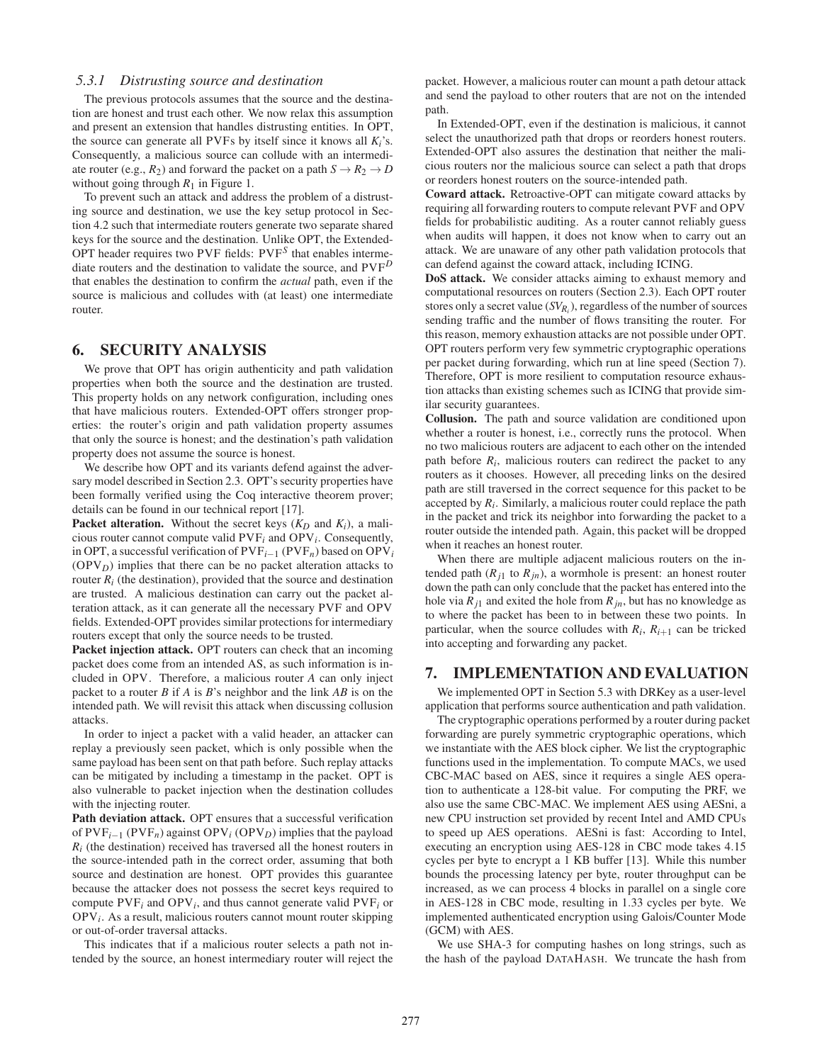#### *5.3.1 Distrusting source and destination*

The previous protocols assumes that the source and the destination are honest and trust each other. We now relax this assumption and present an extension that handles distrusting entities. In OPT, the source can generate all PVFs by itself since it knows all  $K_i$ 's. Consequently, a malicious source can collude with an intermediate router (e.g.,  $R_2$ ) and forward the packet on a path  $S \rightarrow R_2 \rightarrow D$ without going through  $R_1$  in Figure 1.

To prevent such an attack and address the problem of a distrusting source and destination, we use the key setup protocol in Section 4.2 such that intermediate routers generate two separate shared keys for the source and the destination. Unlike OPT, the Extended-OPT header requires two PVF fields: PVF*<sup>S</sup>* that enables intermediate routers and the destination to validate the source, and PVF*<sup>D</sup>* that enables the destination to confirm the *actual* path, even if the source is malicious and colludes with (at least) one intermediate router.

### **6. SECURITY ANALYSIS**

We prove that OPT has origin authenticity and path validation properties when both the source and the destination are trusted. This property holds on any network configuration, including ones that have malicious routers. Extended-OPT offers stronger properties: the router's origin and path validation property assumes that only the source is honest; and the destination's path validation property does not assume the source is honest.

We describe how OPT and its variants defend against the adversary model described in Section 2.3. OPT's security properties have been formally verified using the Coq interactive theorem prover; details can be found in our technical report [17].

**Packet alteration.** Without the secret keys  $(K_D \text{ and } K_i)$ , a malicious router cannot compute valid PVF*i* and OPV*i* . Consequently, in OPT, a successful verification of PVF*i*−<sup>1</sup> (PVF*n*) based on OPV*<sup>i</sup>* (OPV*D*) implies that there can be no packet alteration attacks to router  $R_i$  (the destination), provided that the source and destination are trusted. A malicious destination can carry out the packet alteration attack, as it can generate all the necessary PVF and OPV fields. Extended-OPT provides similar protections for intermediary routers except that only the source needs to be trusted.

**Packet injection attack.** OPT routers can check that an incoming packet does come from an intended AS, as such information is included in OPV. Therefore, a malicious router *A* can only inject packet to a router *B* if *A* is *B*'s neighbor and the link *AB* is on the intended path. We will revisit this attack when discussing collusion attacks.

In order to inject a packet with a valid header, an attacker can replay a previously seen packet, which is only possible when the same payload has been sent on that path before. Such replay attacks can be mitigated by including a timestamp in the packet. OPT is also vulnerable to packet injection when the destination colludes with the injecting router.

Path deviation attack. OPT ensures that a successful verification of PVF*i*−<sup>1</sup> (PVF*n*) against OPV*<sup>i</sup>* (OPV*D*) implies that the payload  $R_i$  (the destination) received has traversed all the honest routers in the source-intended path in the correct order, assuming that both source and destination are honest. OPT provides this guarantee because the attacker does not possess the secret keys required to compute PVF*i* and OPV*i* , and thus cannot generate valid PVF*i* or OPV*i* . As a result, malicious routers cannot mount router skipping or out-of-order traversal attacks.

This indicates that if a malicious router selects a path not intended by the source, an honest intermediary router will reject the packet. However, a malicious router can mount a path detour attack and send the payload to other routers that are not on the intended path.

In Extended-OPT, even if the destination is malicious, it cannot select the unauthorized path that drops or reorders honest routers. Extended-OPT also assures the destination that neither the malicious routers nor the malicious source can select a path that drops or reorders honest routers on the source-intended path.

**Coward attack.** Retroactive-OPT can mitigate coward attacks by requiring all forwarding routers to compute relevant PVF and OPV fields for probabilistic auditing. As a router cannot reliably guess when audits will happen, it does not know when to carry out an attack. We are unaware of any other path validation protocols that can defend against the coward attack, including ICING.

**DoS attack.** We consider attacks aiming to exhaust memory and computational resources on routers (Section 2.3). Each OPT router stores only a secret value (*SVR<sup>i</sup>* ), regardless of the number of sources sending traffic and the number of flows transiting the router. For this reason, memory exhaustion attacks are not possible under OPT. OPT routers perform very few symmetric cryptographic operations per packet during forwarding, which run at line speed (Section 7). Therefore, OPT is more resilient to computation resource exhaustion attacks than existing schemes such as ICING that provide similar security guarantees.

**Collusion.** The path and source validation are conditioned upon whether a router is honest, i.e., correctly runs the protocol. When no two malicious routers are adjacent to each other on the intended path before  $R_i$ , malicious routers can redirect the packet to any routers as it chooses. However, all preceding links on the desired path are still traversed in the correct sequence for this packet to be accepted by *Ri* . Similarly, a malicious router could replace the path in the packet and trick its neighbor into forwarding the packet to a router outside the intended path. Again, this packet will be dropped when it reaches an honest router.

When there are multiple adjacent malicious routers on the intended path  $(R_{j1}$  to  $R_{jn}$ ), a wormhole is present: an honest router down the path can only conclude that the packet has entered into the hole via  $R_{j1}$  and exited the hole from  $R_{jn}$ , but has no knowledge as to where the packet has been to in between these two points. In particular, when the source colludes with  $R_i$ ,  $R_{i+1}$  can be tricked into accepting and forwarding any packet.

#### **7. IMPLEMENTATION AND EVALUATION**

We implemented OPT in Section 5.3 with DRKey as a user-level application that performs source authentication and path validation.

The cryptographic operations performed by a router during packet forwarding are purely symmetric cryptographic operations, which we instantiate with the AES block cipher. We list the cryptographic functions used in the implementation. To compute MACs, we used CBC-MAC based on AES, since it requires a single AES operation to authenticate a 128-bit value. For computing the PRF, we also use the same CBC-MAC. We implement AES using AESni, a new CPU instruction set provided by recent Intel and AMD CPUs to speed up AES operations. AESni is fast: According to Intel, executing an encryption using AES-128 in CBC mode takes 4.15 cycles per byte to encrypt a 1 KB buffer [13]. While this number bounds the processing latency per byte, router throughput can be increased, as we can process 4 blocks in parallel on a single core in AES-128 in CBC mode, resulting in 1.33 cycles per byte. We implemented authenticated encryption using Galois/Counter Mode (GCM) with AES.

We use SHA-3 for computing hashes on long strings, such as the hash of the payload DATAHASH. We truncate the hash from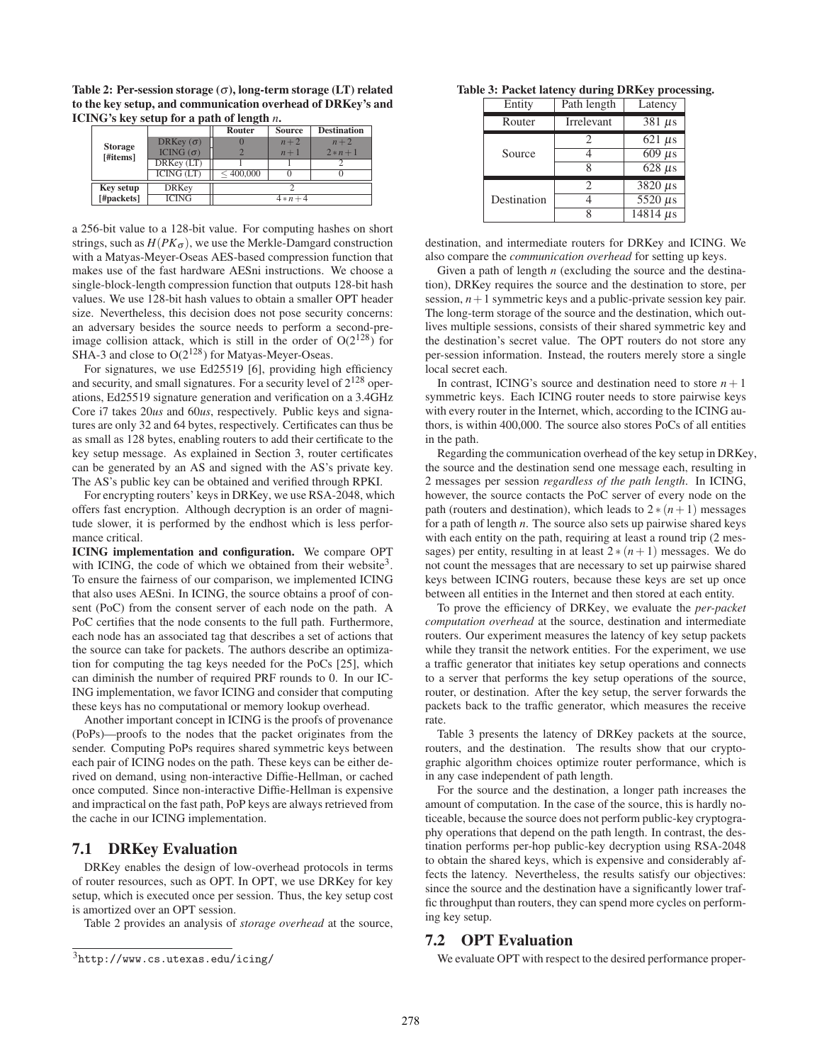**Table 2: Per-session storage (**σ**), long-term storage (LT) related to the key setup, and communication overhead of DRKey's and ICING's key setup for a path of length** *n***.**

| <b>Storage</b><br>[#items] |                  | Router    | <b>Source</b> | <b>Destination</b> |
|----------------------------|------------------|-----------|---------------|--------------------|
|                            | DRKey $(\sigma)$ |           | $n+2$         | $n+2$              |
|                            | ICING $(\sigma)$ |           | $n+1$         | $2*n+1$            |
|                            | DRKey (LT)       |           |               |                    |
|                            | ICING (LT)       | < 400,000 |               |                    |
| <b>Key setup</b>           | <b>DRKey</b>     |           |               |                    |
| [#packets]                 | <b>ICING</b>     | $4*n+4$   |               |                    |

a 256-bit value to a 128-bit value. For computing hashes on short strings, such as  $H(PK_{\sigma})$ , we use the Merkle-Damgard construction with a Matyas-Meyer-Oseas AES-based compression function that makes use of the fast hardware AESni instructions. We choose a single-block-length compression function that outputs 128-bit hash values. We use 128-bit hash values to obtain a smaller OPT header size. Nevertheless, this decision does not pose security concerns: an adversary besides the source needs to perform a second-preimage collision attack, which is still in the order of  $O(2^{128})$  for SHA-3 and close to  $O(2^{128})$  for Matyas-Meyer-Oseas.

For signatures, we use Ed25519 [6], providing high efficiency and security, and small signatures. For a security level of  $2^{128}$  operations, Ed25519 signature generation and verification on a 3.4GHz Core i7 takes 20*us* and 60*us*, respectively. Public keys and signatures are only 32 and 64 bytes, respectively. Certificates can thus be as small as 128 bytes, enabling routers to add their certificate to the key setup message. As explained in Section 3, router certificates can be generated by an AS and signed with the AS's private key. The AS's public key can be obtained and verified through RPKI.

For encrypting routers' keys in DRKey, we use RSA-2048, which offers fast encryption. Although decryption is an order of magnitude slower, it is performed by the endhost which is less performance critical.

**ICING implementation and configuration.** We compare OPT with ICING, the code of which we obtained from their website<sup>3</sup>. To ensure the fairness of our comparison, we implemented ICING that also uses AESni. In ICING, the source obtains a proof of consent (PoC) from the consent server of each node on the path. A PoC certifies that the node consents to the full path. Furthermore, each node has an associated tag that describes a set of actions that the source can take for packets. The authors describe an optimization for computing the tag keys needed for the PoCs [25], which can diminish the number of required PRF rounds to 0. In our IC-ING implementation, we favor ICING and consider that computing these keys has no computational or memory lookup overhead.

Another important concept in ICING is the proofs of provenance (PoPs)—proofs to the nodes that the packet originates from the sender. Computing PoPs requires shared symmetric keys between each pair of ICING nodes on the path. These keys can be either derived on demand, using non-interactive Diffie-Hellman, or cached once computed. Since non-interactive Diffie-Hellman is expensive and impractical on the fast path, PoP keys are always retrieved from the cache in our ICING implementation.

### **7.1 DRKey Evaluation**

DRKey enables the design of low-overhead protocols in terms of router resources, such as OPT. In OPT, we use DRKey for key setup, which is executed once per session. Thus, the key setup cost is amortized over an OPT session.

Table 2 provides an analysis of *storage overhead* at the source,

| Table 3: Packet latency during DRKey processing. |
|--------------------------------------------------|
|--------------------------------------------------|

| Entity      | Path length       | Latency                               |
|-------------|-------------------|---------------------------------------|
| Router      | <b>Irrelevant</b> | $381 \text{ }\mu\text{s}$             |
|             |                   | $621 \text{ }\mu\text{s}$             |
| Source      |                   | $609$ $\mu$ s                         |
|             |                   | $628 \text{ }\mu\text{s}$             |
|             |                   | $3820 \,\mu s$                        |
| Destination |                   | $5520 \mu s$                          |
|             |                   | $\frac{14814 \text{ }\mu\text{s}}{2}$ |

destination, and intermediate routers for DRKey and ICING. We also compare the *communication overhead* for setting up keys.

Given a path of length *n* (excluding the source and the destination), DRKey requires the source and the destination to store, per session,  $n+1$  symmetric keys and a public-private session key pair. The long-term storage of the source and the destination, which outlives multiple sessions, consists of their shared symmetric key and the destination's secret value. The OPT routers do not store any per-session information. Instead, the routers merely store a single local secret each.

In contrast, ICING's source and destination need to store  $n+1$ symmetric keys. Each ICING router needs to store pairwise keys with every router in the Internet, which, according to the ICING authors, is within 400,000. The source also stores PoCs of all entities in the path.

Regarding the communication overhead of the key setup in DRKey, the source and the destination send one message each, resulting in 2 messages per session *regardless of the path length*. In ICING, however, the source contacts the PoC server of every node on the path (routers and destination), which leads to  $2*(n+1)$  messages for a path of length *n*. The source also sets up pairwise shared keys with each entity on the path, requiring at least a round trip (2 messages) per entity, resulting in at least  $2*(n+1)$  messages. We do not count the messages that are necessary to set up pairwise shared keys between ICING routers, because these keys are set up once between all entities in the Internet and then stored at each entity.

To prove the efficiency of DRKey, we evaluate the *per-packet computation overhead* at the source, destination and intermediate routers. Our experiment measures the latency of key setup packets while they transit the network entities. For the experiment, we use a traffic generator that initiates key setup operations and connects to a server that performs the key setup operations of the source, router, or destination. After the key setup, the server forwards the packets back to the traffic generator, which measures the receive rate.

Table 3 presents the latency of DRKey packets at the source, routers, and the destination. The results show that our cryptographic algorithm choices optimize router performance, which is in any case independent of path length.

For the source and the destination, a longer path increases the amount of computation. In the case of the source, this is hardly noticeable, because the source does not perform public-key cryptography operations that depend on the path length. In contrast, the destination performs per-hop public-key decryption using RSA-2048 to obtain the shared keys, which is expensive and considerably affects the latency. Nevertheless, the results satisfy our objectives: since the source and the destination have a significantly lower traffic throughput than routers, they can spend more cycles on performing key setup.

### **7.2 OPT Evaluation**

We evaluate OPT with respect to the desired performance proper-

<sup>3</sup>http://www.cs.utexas.edu/icing/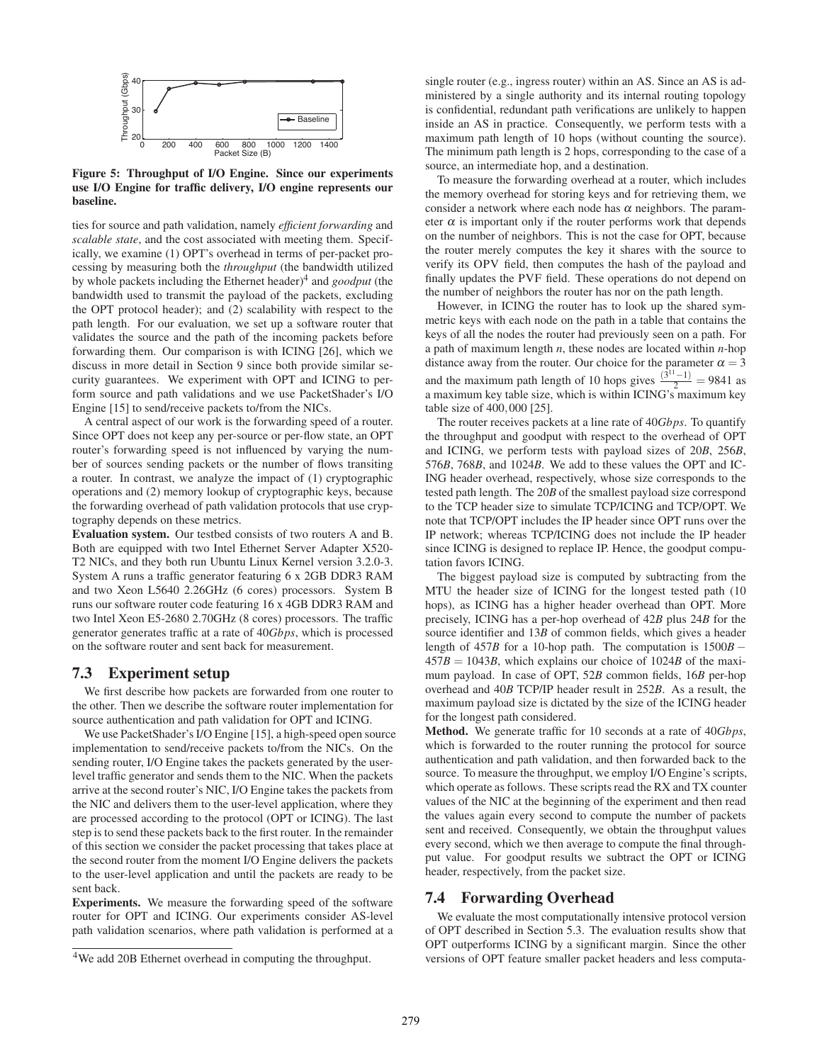

**Figure 5: Throughput of I/O Engine. Since our experiments use I/O Engine for traffic delivery, I/O engine represents our baseline.**

ties for source and path validation, namely *efficient forwarding* and *scalable state*, and the cost associated with meeting them. Specifically, we examine (1) OPT's overhead in terms of per-packet processing by measuring both the *throughput* (the bandwidth utilized by whole packets including the Ethernet header)<sup>4</sup> and *goodput* (the bandwidth used to transmit the payload of the packets, excluding the OPT protocol header); and (2) scalability with respect to the path length. For our evaluation, we set up a software router that validates the source and the path of the incoming packets before forwarding them. Our comparison is with ICING [26], which we discuss in more detail in Section 9 since both provide similar security guarantees. We experiment with OPT and ICING to perform source and path validations and we use PacketShader's I/O Engine [15] to send/receive packets to/from the NICs.

A central aspect of our work is the forwarding speed of a router. Since OPT does not keep any per-source or per-flow state, an OPT router's forwarding speed is not influenced by varying the number of sources sending packets or the number of flows transiting a router. In contrast, we analyze the impact of (1) cryptographic operations and (2) memory lookup of cryptographic keys, because the forwarding overhead of path validation protocols that use cryptography depends on these metrics.

**Evaluation system.** Our testbed consists of two routers A and B. Both are equipped with two Intel Ethernet Server Adapter X520- T2 NICs, and they both run Ubuntu Linux Kernel version 3.2.0-3. System A runs a traffic generator featuring 6 x 2GB DDR3 RAM and two Xeon L5640 2.26GHz (6 cores) processors. System B runs our software router code featuring 16 x 4GB DDR3 RAM and two Intel Xeon E5-2680 2.70GHz (8 cores) processors. The traffic generator generates traffic at a rate of 40*Gbps*, which is processed on the software router and sent back for measurement.

#### **7.3 Experiment setup**

We first describe how packets are forwarded from one router to the other. Then we describe the software router implementation for source authentication and path validation for OPT and ICING.

We use PacketShader's I/O Engine [15], a high-speed open source implementation to send/receive packets to/from the NICs. On the sending router, I/O Engine takes the packets generated by the userlevel traffic generator and sends them to the NIC. When the packets arrive at the second router's NIC, I/O Engine takes the packets from the NIC and delivers them to the user-level application, where they are processed according to the protocol (OPT or ICING). The last step is to send these packets back to the first router. In the remainder of this section we consider the packet processing that takes place at the second router from the moment I/O Engine delivers the packets to the user-level application and until the packets are ready to be sent back.

**Experiments.** We measure the forwarding speed of the software router for OPT and ICING. Our experiments consider AS-level path validation scenarios, where path validation is performed at a single router (e.g., ingress router) within an AS. Since an AS is administered by a single authority and its internal routing topology is confidential, redundant path verifications are unlikely to happen inside an AS in practice. Consequently, we perform tests with a maximum path length of 10 hops (without counting the source). The minimum path length is 2 hops, corresponding to the case of a source, an intermediate hop, and a destination.

To measure the forwarding overhead at a router, which includes the memory overhead for storing keys and for retrieving them, we consider a network where each node has  $\alpha$  neighbors. The parameter  $\alpha$  is important only if the router performs work that depends on the number of neighbors. This is not the case for OPT, because the router merely computes the key it shares with the source to verify its OPV field, then computes the hash of the payload and finally updates the PVF field. These operations do not depend on the number of neighbors the router has nor on the path length.

However, in ICING the router has to look up the shared symmetric keys with each node on the path in a table that contains the keys of all the nodes the router had previously seen on a path. For a path of maximum length *n*, these nodes are located within *n*-hop distance away from the router. Our choice for the parameter  $\alpha = 3$ and the maximum path length of 10 hops gives  $\frac{(3^{11}-1)}{2} = 9841$  as a maximum key table size, which is within ICING's maximum key table size of 400,000 [25].

The router receives packets at a line rate of 40*Gbps*. To quantify the throughput and goodput with respect to the overhead of OPT and ICING, we perform tests with payload sizes of 20*B*, 256*B*, 576*B*, 768*B*, and 1024*B*. We add to these values the OPT and IC-ING header overhead, respectively, whose size corresponds to the tested path length. The 20*B* of the smallest payload size correspond to the TCP header size to simulate TCP/ICING and TCP/OPT. We note that TCP/OPT includes the IP header since OPT runs over the IP network; whereas TCP/ICING does not include the IP header since ICING is designed to replace IP. Hence, the goodput computation favors ICING.

The biggest payload size is computed by subtracting from the MTU the header size of ICING for the longest tested path (10 hops), as ICING has a higher header overhead than OPT. More precisely, ICING has a per-hop overhead of 42*B* plus 24*B* for the source identifier and 13*B* of common fields, which gives a header length of 457*B* for a 10-hop path. The computation is 1500*B* −  $457B = 1043B$ , which explains our choice of  $1024B$  of the maximum payload. In case of OPT, 52*B* common fields, 16*B* per-hop overhead and 40*B* TCP/IP header result in 252*B*. As a result, the maximum payload size is dictated by the size of the ICING header for the longest path considered.

**Method.** We generate traffic for 10 seconds at a rate of 40*Gbps*, which is forwarded to the router running the protocol for source authentication and path validation, and then forwarded back to the source. To measure the throughput, we employ I/O Engine's scripts, which operate as follows. These scripts read the RX and TX counter values of the NIC at the beginning of the experiment and then read the values again every second to compute the number of packets sent and received. Consequently, we obtain the throughput values every second, which we then average to compute the final throughput value. For goodput results we subtract the OPT or ICING header, respectively, from the packet size.

#### **7.4 Forwarding Overhead**

We evaluate the most computationally intensive protocol version of OPT described in Section 5.3. The evaluation results show that OPT outperforms ICING by a significant margin. Since the other versions of OPT feature smaller packet headers and less computa-

<sup>4</sup>We add 20B Ethernet overhead in computing the throughput.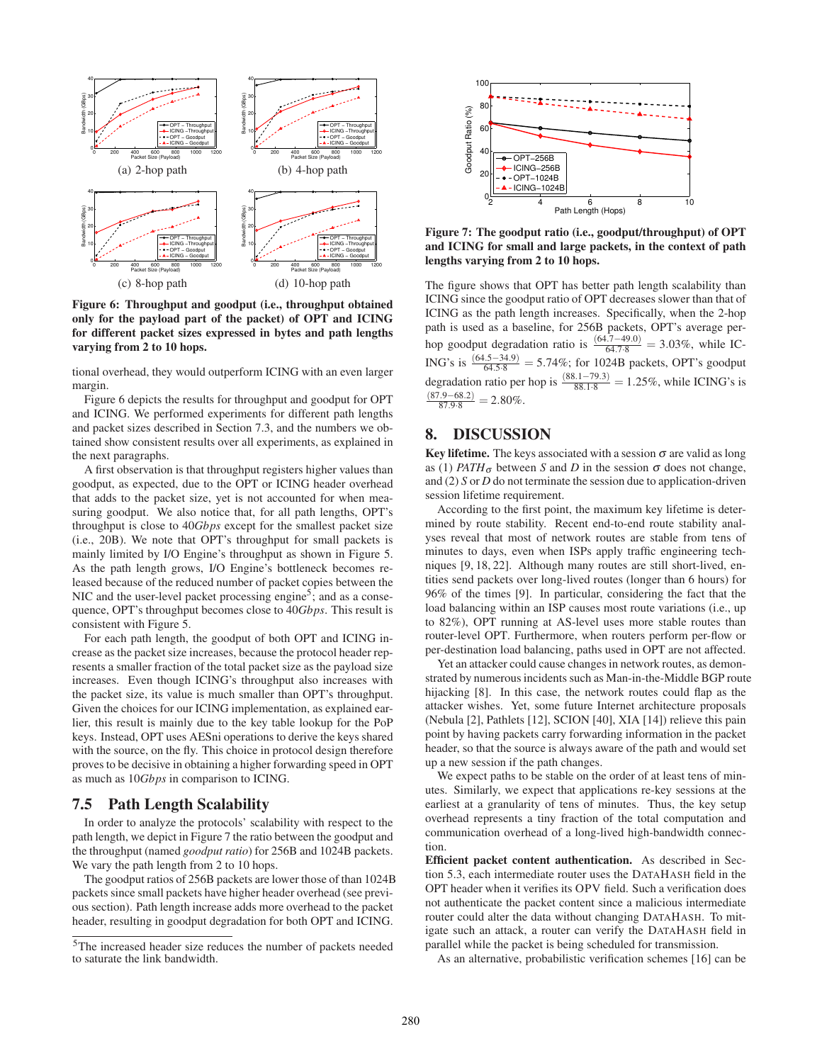

**Figure 6: Throughput and goodput (i.e., throughput obtained only for the payload part of the packet) of OPT and ICING for different packet sizes expressed in bytes and path lengths varying from 2 to 10 hops.**

tional overhead, they would outperform ICING with an even larger margin.

Figure 6 depicts the results for throughput and goodput for OPT and ICING. We performed experiments for different path lengths and packet sizes described in Section 7.3, and the numbers we obtained show consistent results over all experiments, as explained in the next paragraphs.

A first observation is that throughput registers higher values than goodput, as expected, due to the OPT or ICING header overhead that adds to the packet size, yet is not accounted for when measuring goodput. We also notice that, for all path lengths, OPT's throughput is close to 40*Gbps* except for the smallest packet size (i.e., 20B). We note that OPT's throughput for small packets is mainly limited by I/O Engine's throughput as shown in Figure 5. As the path length grows, I/O Engine's bottleneck becomes released because of the reduced number of packet copies between the NIC and the user-level packet processing engine<sup>5</sup>; and as a consequence, OPT's throughput becomes close to 40*Gbps*. This result is consistent with Figure 5.

For each path length, the goodput of both OPT and ICING increase as the packet size increases, because the protocol header represents a smaller fraction of the total packet size as the payload size increases. Even though ICING's throughput also increases with the packet size, its value is much smaller than OPT's throughput. Given the choices for our ICING implementation, as explained earlier, this result is mainly due to the key table lookup for the PoP keys. Instead, OPT uses AESni operations to derive the keys shared with the source, on the fly. This choice in protocol design therefore proves to be decisive in obtaining a higher forwarding speed in OPT as much as 10*Gbps* in comparison to ICING.

#### **7.5 Path Length Scalability**

In order to analyze the protocols' scalability with respect to the path length, we depict in Figure 7 the ratio between the goodput and the throughput (named *goodput ratio*) for 256B and 1024B packets. We vary the path length from 2 to 10 hops.

The goodput ratios of 256B packets are lower those of than 1024B packets since small packets have higher header overhead (see previous section). Path length increase adds more overhead to the packet header, resulting in goodput degradation for both OPT and ICING.



**Figure 7: The goodput ratio (i.e., goodput/throughput) of OPT and ICING for small and large packets, in the context of path lengths varying from 2 to 10 hops.**

The figure shows that OPT has better path length scalability than ICING since the goodput ratio of OPT decreases slower than that of ICING as the path length increases. Specifically, when the 2-hop path is used as a baseline, for 256B packets, OPT's average perhop goodput degradation ratio is  $\frac{(64.7-49.0)}{64.7\cdot 8} = 3.03\%$ , while IC-ING's is  $\frac{(64.5-34.9)}{64.5\cdot 8}$  = 5.74%; for 1024B packets, OPT's goodput degradation ratio per hop is  $\frac{(88.1-79.3)}{88.1\cdot8} = 1.25\%$ , while ICING's is  $\frac{(87.9-68.2)}{87.9.8} = 2.80\%$ .

### **8. DISCUSSION**

**Key lifetime.** The keys associated with a session  $\sigma$  are valid as long as (1) *PATH* $_{\sigma}$  between *S* and *D* in the session  $\sigma$  does not change, and (2) *S* or *D* do not terminate the session due to application-driven session lifetime requirement.

According to the first point, the maximum key lifetime is determined by route stability. Recent end-to-end route stability analyses reveal that most of network routes are stable from tens of minutes to days, even when ISPs apply traffic engineering techniques [9, 18, 22]. Although many routes are still short-lived, entities send packets over long-lived routes (longer than 6 hours) for 96% of the times [9]. In particular, considering the fact that the load balancing within an ISP causes most route variations (i.e., up to 82%), OPT running at AS-level uses more stable routes than router-level OPT. Furthermore, when routers perform per-flow or per-destination load balancing, paths used in OPT are not affected.

Yet an attacker could cause changes in network routes, as demonstrated by numerous incidents such as Man-in-the-Middle BGP route hijacking [8]. In this case, the network routes could flap as the attacker wishes. Yet, some future Internet architecture proposals (Nebula [2], Pathlets [12], SCION [40], XIA [14]) relieve this pain point by having packets carry forwarding information in the packet header, so that the source is always aware of the path and would set up a new session if the path changes.

We expect paths to be stable on the order of at least tens of minutes. Similarly, we expect that applications re-key sessions at the earliest at a granularity of tens of minutes. Thus, the key setup overhead represents a tiny fraction of the total computation and communication overhead of a long-lived high-bandwidth connection.

**Efficient packet content authentication.** As described in Section 5.3, each intermediate router uses the DATAHASH field in the OPT header when it verifies its OPV field. Such a verification does not authenticate the packet content since a malicious intermediate router could alter the data without changing DATAHASH. To mitigate such an attack, a router can verify the DATAHASH field in parallel while the packet is being scheduled for transmission.

As an alternative, probabilistic verification schemes [16] can be

<sup>5</sup>The increased header size reduces the number of packets needed to saturate the link bandwidth.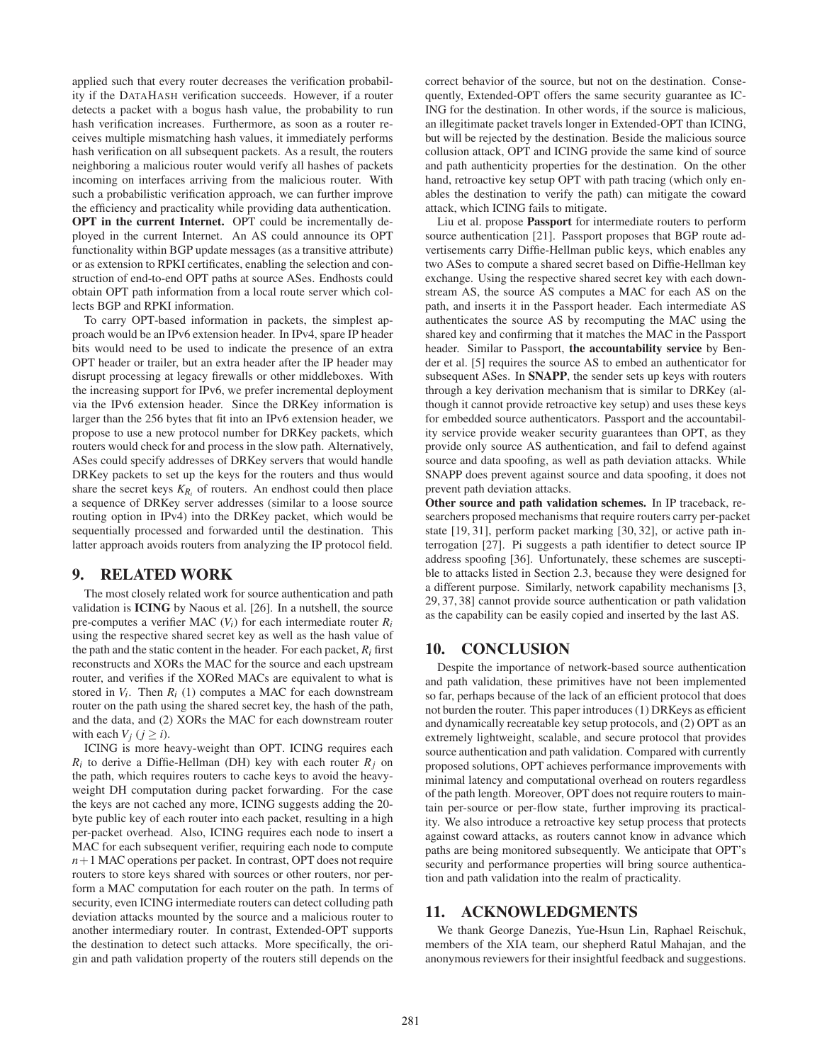applied such that every router decreases the verification probability if the DATAHASH verification succeeds. However, if a router detects a packet with a bogus hash value, the probability to run hash verification increases. Furthermore, as soon as a router receives multiple mismatching hash values, it immediately performs hash verification on all subsequent packets. As a result, the routers neighboring a malicious router would verify all hashes of packets incoming on interfaces arriving from the malicious router. With such a probabilistic verification approach, we can further improve the efficiency and practicality while providing data authentication. **OPT in the current Internet.** OPT could be incrementally deployed in the current Internet. An AS could announce its OPT functionality within BGP update messages (as a transitive attribute) or as extension to RPKI certificates, enabling the selection and construction of end-to-end OPT paths at source ASes. Endhosts could obtain OPT path information from a local route server which collects BGP and RPKI information.

To carry OPT-based information in packets, the simplest approach would be an IPv6 extension header. In IPv4, spare IP header bits would need to be used to indicate the presence of an extra OPT header or trailer, but an extra header after the IP header may disrupt processing at legacy firewalls or other middleboxes. With the increasing support for IPv6, we prefer incremental deployment via the IPv6 extension header. Since the DRKey information is larger than the 256 bytes that fit into an IPv6 extension header, we propose to use a new protocol number for DRKey packets, which routers would check for and process in the slow path. Alternatively, ASes could specify addresses of DRKey servers that would handle DRKey packets to set up the keys for the routers and thus would share the secret keys  $K_{R_i}$  of routers. An endhost could then place a sequence of DRKey server addresses (similar to a loose source routing option in IPv4) into the DRKey packet, which would be sequentially processed and forwarded until the destination. This latter approach avoids routers from analyzing the IP protocol field.

### **9. RELATED WORK**

The most closely related work for source authentication and path validation is **ICING** by Naous et al. [26]. In a nutshell, the source pre-computes a verifier MAC  $(V_i)$  for each intermediate router  $R_i$ using the respective shared secret key as well as the hash value of the path and the static content in the header. For each packet,  $R_i$  first reconstructs and XORs the MAC for the source and each upstream router, and verifies if the XORed MACs are equivalent to what is stored in  $V_i$ . Then  $R_i$  (1) computes a MAC for each downstream router on the path using the shared secret key, the hash of the path, and the data, and (2) XORs the MAC for each downstream router with each  $V_j$  ( $j \ge i$ ).

ICING is more heavy-weight than OPT. ICING requires each  $R_i$  to derive a Diffie-Hellman (DH) key with each router  $R_j$  on the path, which requires routers to cache keys to avoid the heavyweight DH computation during packet forwarding. For the case the keys are not cached any more, ICING suggests adding the 20 byte public key of each router into each packet, resulting in a high per-packet overhead. Also, ICING requires each node to insert a MAC for each subsequent verifier, requiring each node to compute  $n+1$  MAC operations per packet. In contrast, OPT does not require routers to store keys shared with sources or other routers, nor perform a MAC computation for each router on the path. In terms of security, even ICING intermediate routers can detect colluding path deviation attacks mounted by the source and a malicious router to another intermediary router. In contrast, Extended-OPT supports the destination to detect such attacks. More specifically, the origin and path validation property of the routers still depends on the correct behavior of the source, but not on the destination. Consequently, Extended-OPT offers the same security guarantee as IC-ING for the destination. In other words, if the source is malicious, an illegitimate packet travels longer in Extended-OPT than ICING, but will be rejected by the destination. Beside the malicious source collusion attack, OPT and ICING provide the same kind of source and path authenticity properties for the destination. On the other hand, retroactive key setup OPT with path tracing (which only enables the destination to verify the path) can mitigate the coward attack, which ICING fails to mitigate.

Liu et al. propose **Passport** for intermediate routers to perform source authentication [21]. Passport proposes that BGP route advertisements carry Diffie-Hellman public keys, which enables any two ASes to compute a shared secret based on Diffie-Hellman key exchange. Using the respective shared secret key with each downstream AS, the source AS computes a MAC for each AS on the path, and inserts it in the Passport header. Each intermediate AS authenticates the source AS by recomputing the MAC using the shared key and confirming that it matches the MAC in the Passport header. Similar to Passport, **the accountability service** by Bender et al. [5] requires the source AS to embed an authenticator for subsequent ASes. In **SNAPP**, the sender sets up keys with routers through a key derivation mechanism that is similar to DRKey (although it cannot provide retroactive key setup) and uses these keys for embedded source authenticators. Passport and the accountability service provide weaker security guarantees than OPT, as they provide only source AS authentication, and fail to defend against source and data spoofing, as well as path deviation attacks. While SNAPP does prevent against source and data spoofing, it does not prevent path deviation attacks.

**Other source and path validation schemes.** In IP traceback, researchers proposed mechanisms that require routers carry per-packet state [19, 31], perform packet marking [30, 32], or active path interrogation [27]. Pi suggests a path identifier to detect source IP address spoofing [36]. Unfortunately, these schemes are susceptible to attacks listed in Section 2.3, because they were designed for a different purpose. Similarly, network capability mechanisms [3, 29, 37, 38] cannot provide source authentication or path validation as the capability can be easily copied and inserted by the last AS.

# **10. CONCLUSION**

Despite the importance of network-based source authentication and path validation, these primitives have not been implemented so far, perhaps because of the lack of an efficient protocol that does not burden the router. This paper introduces (1) DRKeys as efficient and dynamically recreatable key setup protocols, and (2) OPT as an extremely lightweight, scalable, and secure protocol that provides source authentication and path validation. Compared with currently proposed solutions, OPT achieves performance improvements with minimal latency and computational overhead on routers regardless of the path length. Moreover, OPT does not require routers to maintain per-source or per-flow state, further improving its practicality. We also introduce a retroactive key setup process that protects against coward attacks, as routers cannot know in advance which paths are being monitored subsequently. We anticipate that OPT's security and performance properties will bring source authentication and path validation into the realm of practicality.

### **11. ACKNOWLEDGMENTS**

We thank George Danezis, Yue-Hsun Lin, Raphael Reischuk, members of the XIA team, our shepherd Ratul Mahajan, and the anonymous reviewers for their insightful feedback and suggestions.